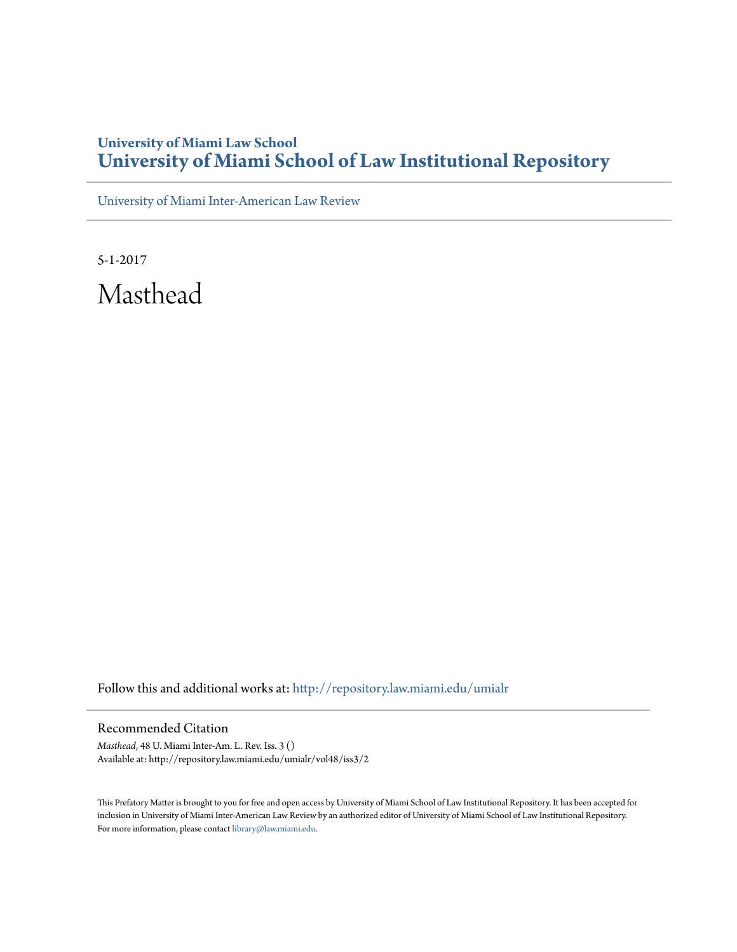## **University of Miami Law School [University of Miami School of Law Institutional Repository](http://repository.law.miami.edu?utm_source=repository.law.miami.edu%2Fumialr%2Fvol48%2Fiss3%2F2&utm_medium=PDF&utm_campaign=PDFCoverPages)**

[University of Miami Inter-American Law Review](http://repository.law.miami.edu/umialr?utm_source=repository.law.miami.edu%2Fumialr%2Fvol48%2Fiss3%2F2&utm_medium=PDF&utm_campaign=PDFCoverPages)

5-1-2017 Masthead

Follow this and additional works at: [http://repository.law.miami.edu/umialr](http://repository.law.miami.edu/umialr?utm_source=repository.law.miami.edu%2Fumialr%2Fvol48%2Fiss3%2F2&utm_medium=PDF&utm_campaign=PDFCoverPages)

Recommended Citation

*Masthead*, 48 U. Miami Inter-Am. L. Rev. Iss. 3 () Available at: http://repository.law.miami.edu/umialr/vol48/iss3/2

This Prefatory Matter is brought to you for free and open access by University of Miami School of Law Institutional Repository. It has been accepted for inclusion in University of Miami Inter-American Law Review by an authorized editor of University of Miami School of Law Institutional Repository. For more information, please contact [library@law.miami.edu](mailto:library@law.miami.edu).